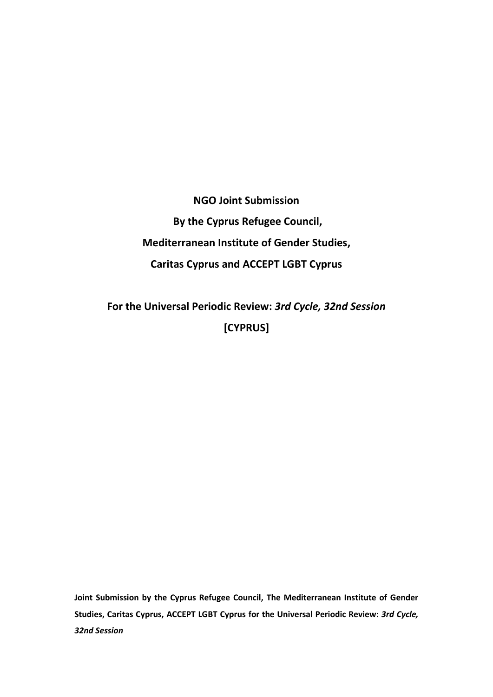**NGO Joint Submission By the Cyprus Refugee Council, Mediterranean Institute of Gender Studies, Caritas Cyprus and ACCEPT LGBT Cyprus** 

**For the Universal Periodic Review:** *3rd Cycle, 32nd Session* **[CYPRUS]**

**Joint Submission by the Cyprus Refugee Council, The Mediterranean Institute of Gender Studies, Caritas Cyprus, ACCEPT LGBT Cyprus for the Universal Periodic Review:** *3rd Cycle, 32nd Session*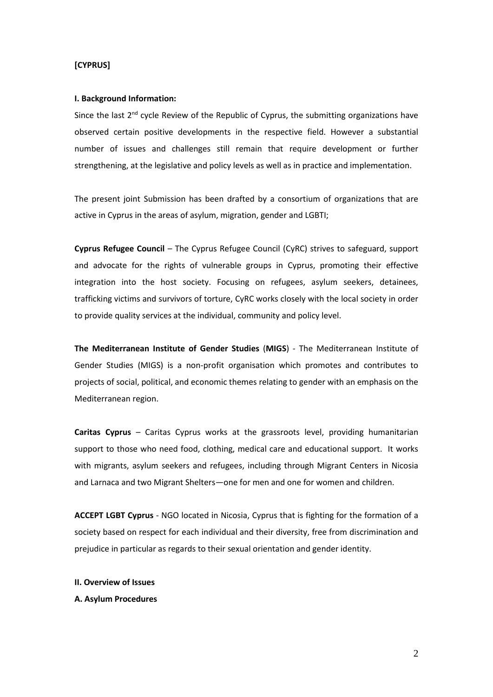# **[CYPRUS]**

#### **I. Background Information:**

Since the last  $2^{nd}$  cycle Review of the Republic of Cyprus, the submitting organizations have observed certain positive developments in the respective field. However a substantial number of issues and challenges still remain that require development or further strengthening, at the legislative and policy levels as well as in practice and implementation.

The present joint Submission has been drafted by a consortium of organizations that are active in Cyprus in the areas of asylum, migration, gender and LGBTI;

**Cyprus Refugee Council** – The Cyprus Refugee Council (CyRC) strives to safeguard, support and advocate for the rights of vulnerable groups in Cyprus, promoting their effective integration into the host society. Focusing on refugees, asylum seekers, detainees, trafficking victims and survivors of torture, CyRC works closely with the local society in order to provide quality services at the individual, community and policy level.

**The Mediterranean Institute of Gender Studies** (**MIGS**) - [The Mediterranean Institute of](http://www.medinstgenderstudies.org/welcome-to-migs/)  [Gender Studies \(MIGS\) is a non-profit organisation which promotes and contributes to](http://www.medinstgenderstudies.org/welcome-to-migs/)  [projects of social, political, and economic themes relating to gender with an emphasis on the](http://www.medinstgenderstudies.org/welcome-to-migs/)  [Mediterranean region.](http://www.medinstgenderstudies.org/welcome-to-migs/)

**Caritas Cyprus** – Caritas Cyprus works at the grassroots level, providing humanitarian support to those who need food, clothing, medical care and educational support. It works with migrants, asylum seekers and refugees, including through Migrant Centers in Nicosia and Larnaca and two Migrant Shelters—one for men and one for women and children.

**ACCEPT LGBT Cyprus** - NGO located in Nicosia, Cyprus that is fighting for the formation of a society based on respect for each individual and their diversity, free from discrimination and prejudice in particular as regards to their sexual orientation and gender identity.

**II. Overview of Issues**

**A. Asylum Procedures**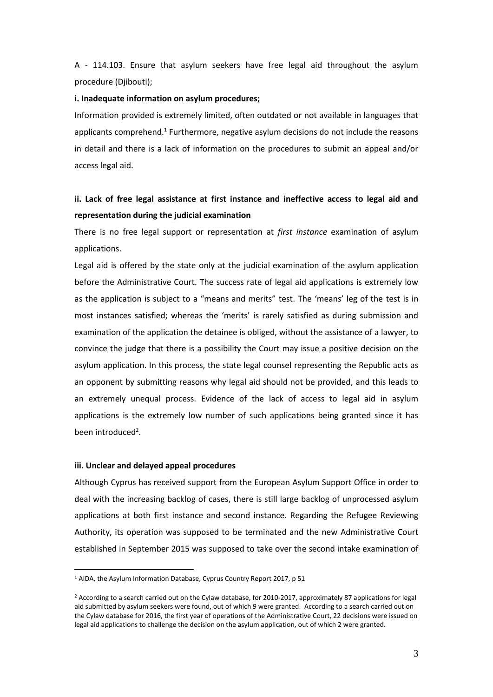A - 114.103. Ensure that asylum seekers have free legal aid throughout the asylum procedure (Djibouti);

#### **i. Inadequate information on asylum procedures;**

Information provided is extremely limited, often outdated or not available in languages that applicants comprehend.<sup>1</sup> Furthermore, negative asylum decisions do not include the reasons in detail and there is a lack of information on the procedures to submit an appeal and/or access legal aid.

# **ii. Lack of free legal assistance at first instance and ineffective access to legal aid and representation during the judicial examination**

There is no free legal support or representation at *first instance* examination of asylum applications.

Legal aid is offered by the state only at the judicial examination of the asylum application before the Administrative Court. The success rate of legal aid applications is extremely low as the application is subject to a "means and merits" test. The 'means' leg of the test is in most instances satisfied; whereas the 'merits' is rarely satisfied as during submission and examination of the application the detainee is obliged, without the assistance of a lawyer, to convince the judge that there is a possibility the Court may issue a positive decision on the asylum application. In this process, the state legal counsel representing the Republic acts as an opponent by submitting reasons why legal aid should not be provided, and this leads to an extremely unequal process. Evidence of the lack of access to legal aid in asylum applications is the extremely low number of such applications being granted since it has been introduced<sup>2</sup>.

## **iii. Unclear and delayed appeal procedures**

1

Although Cyprus has received support from the European Asylum Support Office in order to deal with the increasing backlog of cases, there is still large backlog of unprocessed asylum applications at both first instance and second instance. Regarding the Refugee Reviewing Authority, its operation was supposed to be terminated and the new Administrative Court established in September 2015 was supposed to take over the second intake examination of

<sup>1</sup> AIDA, the Asylum Information Database, Cyprus Country Report 2017, p 51

<sup>&</sup>lt;sup>2</sup> According to a search carried out on the Cylaw database, for 2010-2017, approximately 87 applications for legal aid submitted by asylum seekers were found, out of which 9 were granted. According to a search carried out on the Cylaw database for 2016, the first year of operations of the Administrative Court, 22 decisions were issued on legal aid applications to challenge the decision on the asylum application, out of which 2 were granted.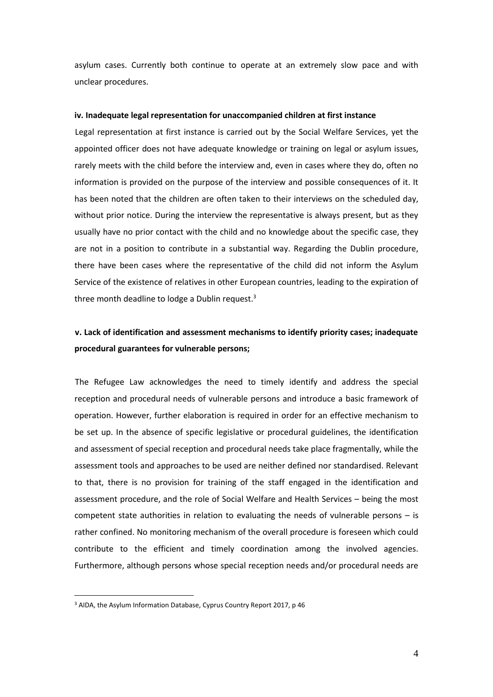asylum cases. Currently both continue to operate at an extremely slow pace and with unclear procedures.

## **iv. Inadequate legal representation for unaccompanied children at first instance**

Legal representation at first instance is carried out by the Social Welfare Services, yet the appointed officer does not have adequate knowledge or training on legal or asylum issues, rarely meets with the child before the interview and, even in cases where they do, often no information is provided on the purpose of the interview and possible consequences of it. It has been noted that the children are often taken to their interviews on the scheduled day, without prior notice. During the interview the representative is always present, but as they usually have no prior contact with the child and no knowledge about the specific case, they are not in a position to contribute in a substantial way. Regarding the Dublin procedure, there have been cases where the representative of the child did not inform the Asylum Service of the existence of relatives in other European countries, leading to the expiration of three month deadline to lodge a Dublin request.<sup>3</sup>

# **v. Lack of identification and assessment mechanisms to identify priority cases; inadequate procedural guarantees for vulnerable persons;**

The Refugee Law acknowledges the need to timely identify and address the special reception and procedural needs of vulnerable persons and introduce a basic framework of operation. However, further elaboration is required in order for an effective mechanism to be set up. In the absence of specific legislative or procedural guidelines, the identification and assessment of special reception and procedural needs take place fragmentally, while the assessment tools and approaches to be used are neither defined nor standardised. Relevant to that, there is no provision for training of the staff engaged in the identification and assessment procedure, and the role of Social Welfare and Health Services – being the most competent state authorities in relation to evaluating the needs of vulnerable persons – is rather confined. No monitoring mechanism of the overall procedure is foreseen which could contribute to the efficient and timely coordination among the involved agencies. Furthermore, although persons whose special reception needs and/or procedural needs are

1

<sup>3</sup> AIDA, the Asylum Information Database, Cyprus Country Report 2017, p 46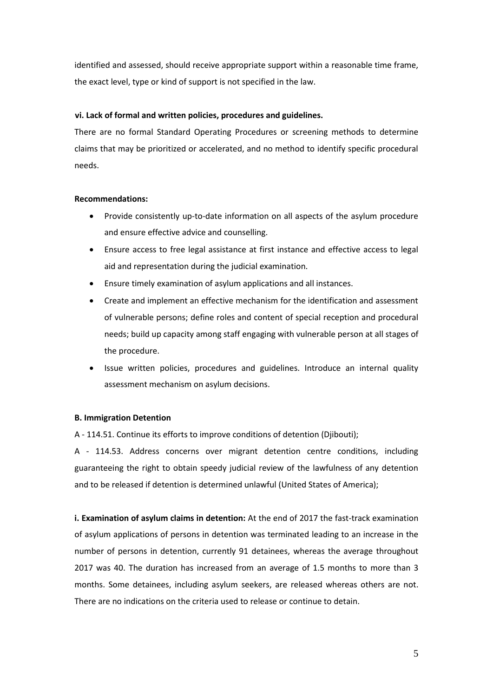identified and assessed, should receive appropriate support within a reasonable time frame, the exact level, type or kind of support is not specified in the law.

# **vi. Lack of formal and written policies, procedures and guidelines.**

There are no formal Standard Operating Procedures or screening methods to determine claims that may be prioritized or accelerated, and no method to identify specific procedural needs.

# **Recommendations:**

- Provide consistently up-to-date information on all aspects of the asylum procedure and ensure effective advice and counselling.
- Ensure access to free legal assistance at first instance and effective access to legal aid and representation during the judicial examination.
- Ensure timely examination of asylum applications and all instances.
- Create and implement an effective mechanism for the identification and assessment of vulnerable persons; define roles and content of special reception and procedural needs; build up capacity among staff engaging with vulnerable person at all stages of the procedure.
- Issue written policies, procedures and guidelines. Introduce an internal quality assessment mechanism on asylum decisions.

# **B. Immigration Detention**

A - 114.51. Continue its efforts to improve conditions of detention (Djibouti);

A - 114.53. Address concerns over migrant detention centre conditions, including guaranteeing the right to obtain speedy judicial review of the lawfulness of any detention and to be released if detention is determined unlawful (United States of America);

**i. Examination of asylum claims in detention:** At the end of 2017 the fast-track examination of asylum applications of persons in detention was terminated leading to an increase in the number of persons in detention, currently 91 detainees, whereas the average throughout 2017 was 40. The duration has increased from an average of 1.5 months to more than 3 months. Some detainees, including asylum seekers, are released whereas others are not. There are no indications on the criteria used to release or continue to detain.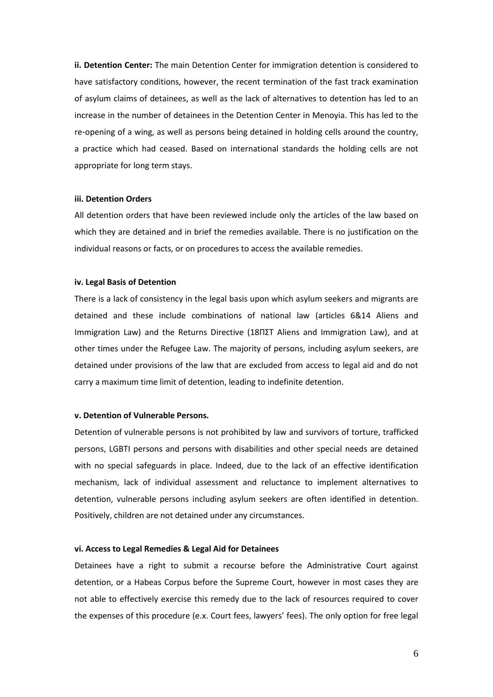**ii. Detention Center:** The main Detention Center for immigration detention is considered to have satisfactory conditions, however, the recent termination of the fast track examination of asylum claims of detainees, as well as the lack of alternatives to detention has led to an increase in the number of detainees in the Detention Center in Menoyia. This has led to the re-opening of a wing, as well as persons being detained in holding cells around the country, a practice which had ceased. Based on international standards the holding cells are not appropriate for long term stays.

#### **iii. Detention Orders**

All detention orders that have been reviewed include only the articles of the law based on which they are detained and in brief the remedies available. There is no justification on the individual reasons or facts, or on procedures to access the available remedies.

#### **iv. Legal Basis of Detention**

There is a lack of consistency in the legal basis upon which asylum seekers and migrants are detained and these include combinations of national law (articles 6&14 Aliens and Immigration Law) and the Returns Directive (18ΠΣΤ Aliens and Immigration Law), and at other times under the Refugee Law. The majority of persons, including asylum seekers, are detained under provisions of the law that are excluded from access to legal aid and do not carry a maximum time limit of detention, leading to indefinite detention.

# **v. Detention of Vulnerable Persons.**

Detention of vulnerable persons is not prohibited by law and survivors of torture, trafficked persons, LGBTI persons and persons with disabilities and other special needs are detained with no special safeguards in place. Indeed, due to the lack of an effective identification mechanism, lack of individual assessment and reluctance to implement alternatives to detention, vulnerable persons including asylum seekers are often identified in detention. Positively, children are not detained under any circumstances.

## **vi. Access to Legal Remedies & Legal Aid for Detainees**

Detainees have a right to submit a recourse before the Administrative Court against detention, or a Habeas Corpus before the Supreme Court, however in most cases they are not able to effectively exercise this remedy due to the lack of resources required to cover the expenses of this procedure (e.x. Court fees, lawyers' fees). The only option for free legal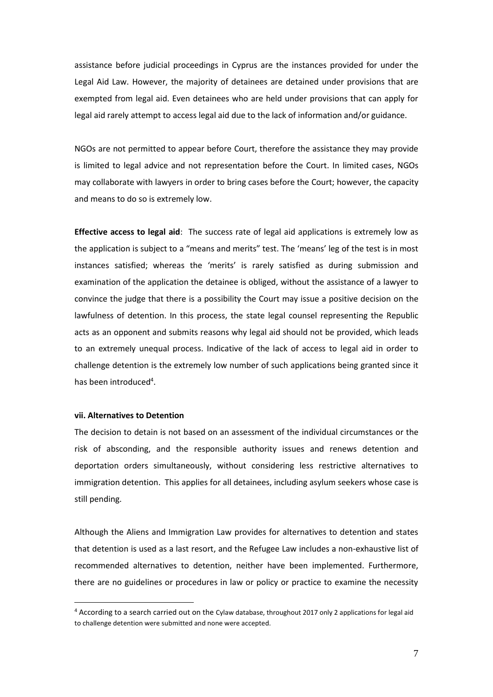assistance before judicial proceedings in Cyprus are the instances provided for under the Legal Aid Law. However, the majority of detainees are detained under provisions that are exempted from legal aid. Even detainees who are held under provisions that can apply for legal aid rarely attempt to access legal aid due to the lack of information and/or guidance.

NGOs are not permitted to appear before Court, therefore the assistance they may provide is limited to legal advice and not representation before the Court. In limited cases, NGOs may collaborate with lawyers in order to bring cases before the Court; however, the capacity and means to do so is extremely low.

**Effective access to legal aid**: The success rate of legal aid applications is extremely low as the application is subject to a "means and merits" test. The 'means' leg of the test is in most instances satisfied; whereas the 'merits' is rarely satisfied as during submission and examination of the application the detainee is obliged, without the assistance of a lawyer to convince the judge that there is a possibility the Court may issue a positive decision on the lawfulness of detention. In this process, the state legal counsel representing the Republic acts as an opponent and submits reasons why legal aid should not be provided, which leads to an extremely unequal process. Indicative of the lack of access to legal aid in order to challenge detention is the extremely low number of such applications being granted since it has been introduced<sup>4</sup>.

#### **vii. Alternatives to Detention**

1

The decision to detain is not based on an assessment of the individual circumstances or the risk of absconding, and the responsible authority issues and renews detention and deportation orders simultaneously, without considering less restrictive alternatives to immigration detention. This applies for all detainees, including asylum seekers whose case is still pending.

Although the Aliens and Immigration Law provides for alternatives to detention and states that detention is used as a last resort, and the Refugee Law includes a non-exhaustive list of recommended alternatives to detention, neither have been implemented. Furthermore, there are no guidelines or procedures in law or policy or practice to examine the necessity

<sup>4</sup> According to a search carried out on the Cylaw database, throughout 2017 only 2 applications for legal aid to challenge detention were submitted and none were accepted.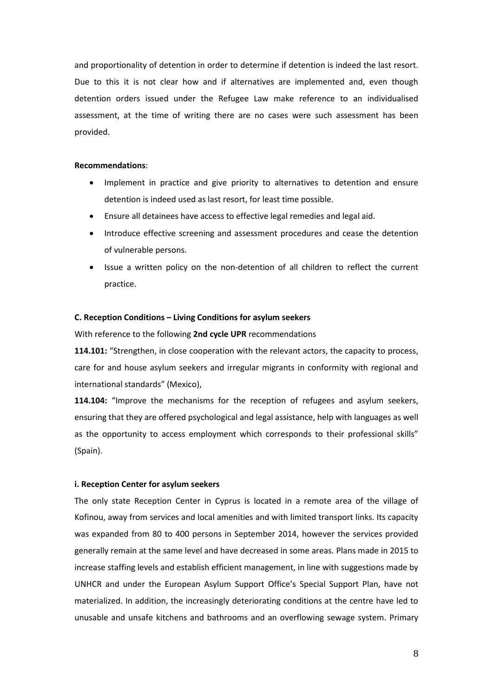and proportionality of detention in order to determine if detention is indeed the last resort. Due to this it is not clear how and if alternatives are implemented and, even though detention orders issued under the Refugee Law make reference to an individualised assessment, at the time of writing there are no cases were such assessment has been provided.

## **Recommendations**:

- Implement in practice and give priority to alternatives to detention and ensure detention is indeed used as last resort, for least time possible.
- Ensure all detainees have access to effective legal remedies and legal aid.
- Introduce effective screening and assessment procedures and cease the detention of vulnerable persons.
- Issue a written policy on the non-detention of all children to reflect the current practice.

## **C. Reception Conditions – Living Conditions for asylum seekers**

With reference to the following **2nd cycle UPR** recommendations

**114.101:** "Strengthen, in close cooperation with the relevant actors, the capacity to process, care for and house asylum seekers and irregular migrants in conformity with regional and international standards" (Mexico),

**114.104:** "Improve the mechanisms for the reception of refugees and asylum seekers, ensuring that they are offered psychological and legal assistance, help with languages as well as the opportunity to access employment which corresponds to their professional skills" (Spain).

# **i. Reception Center for asylum seekers**

The only state Reception Center in Cyprus is located in a remote area of the village of Kofinou, away from services and local amenities and with limited transport links. Its capacity was expanded from 80 to 400 persons in September 2014, however the services provided generally remain at the same level and have decreased in some areas. Plans made in 2015 to increase staffing levels and establish efficient management, in line with suggestions made by UNHCR and under the European Asylum Support Office's Special Support Plan, have not materialized. In addition, the increasingly deteriorating conditions at the centre have led to unusable and unsafe kitchens and bathrooms and an overflowing sewage system. Primary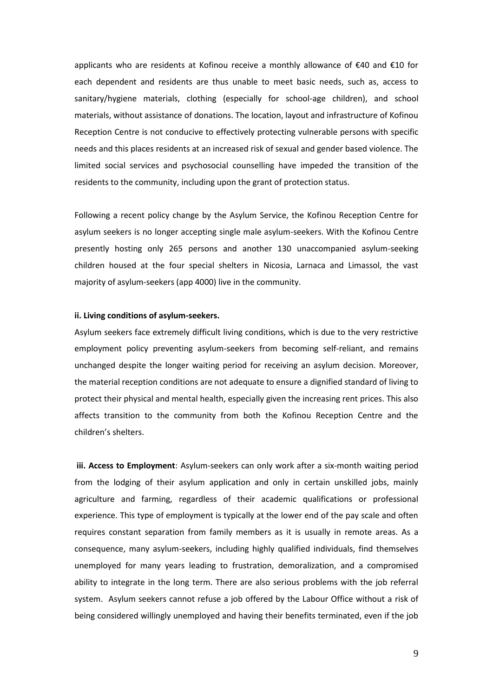applicants who are residents at Kofinou receive a monthly allowance of €40 and €10 for each dependent and residents are thus unable to meet basic needs, such as, access to sanitary/hygiene materials, clothing (especially for school-age children), and school materials, without assistance of donations. The location, layout and infrastructure of Kofinou Reception Centre is not conducive to effectively protecting vulnerable persons with specific needs and this places residents at an increased risk of sexual and gender based violence. The limited social services and psychosocial counselling have impeded the transition of the residents to the community, including upon the grant of protection status.

Following a recent policy change by the Asylum Service, the Kofinou Reception Centre for asylum seekers is no longer accepting single male asylum-seekers. With the Kofinou Centre presently hosting only 265 persons and another 130 unaccompanied asylum-seeking children housed at the four special shelters in Nicosia, Larnaca and Limassol, the vast majority of asylum-seekers (app 4000) live in the community.

# **ii. Living conditions of asylum-seekers.**

Asylum seekers face extremely difficult living conditions, which is due to the very restrictive employment policy preventing asylum-seekers from becoming self-reliant, and remains unchanged despite the longer waiting period for receiving an asylum decision. Moreover, the material reception conditions are not adequate to ensure a dignified standard of living to protect their physical and mental health, especially given the increasing rent prices. This also affects transition to the community from both the Kofinou Reception Centre and the children's shelters.

**iii. Access to Employment**: Asylum-seekers can only work after a six-month waiting period from the lodging of their asylum application and only in certain unskilled jobs, mainly agriculture and farming, regardless of their academic qualifications or professional experience. This type of employment is typically at the lower end of the pay scale and often requires constant separation from family members as it is usually in remote areas. As a consequence, many asylum-seekers, including highly qualified individuals, find themselves unemployed for many years leading to frustration, demoralization, and a compromised ability to integrate in the long term. There are also serious problems with the job referral system. Asylum seekers cannot refuse a job offered by the Labour Office without a risk of being considered willingly unemployed and having their benefits terminated, even if the job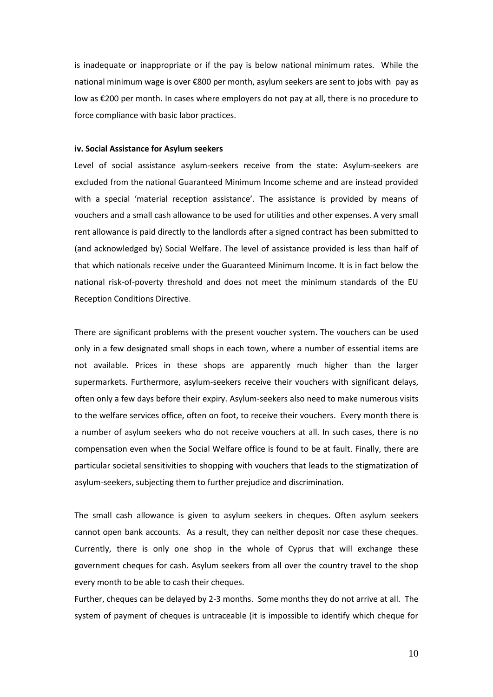is inadequate or inappropriate or if the pay is below national minimum rates. While the national minimum wage is over €800 per month, asylum seekers are sent to jobs with pay as low as €200 per month. In cases where employers do not pay at all, there is no procedure to force compliance with basic labor practices.

## **iv. Social Assistance for Asylum seekers**

Level of social assistance asylum-seekers receive from the state: Asylum-seekers are excluded from the national Guaranteed Minimum Income scheme and are instead provided with a special 'material reception assistance'. The assistance is provided by means of vouchers and a small cash allowance to be used for utilities and other expenses. A very small rent allowance is paid directly to the landlords after a signed contract has been submitted to (and acknowledged by) Social Welfare. The level of assistance provided is less than half of that which nationals receive under the Guaranteed Minimum Income. It is in fact below the national risk-of-poverty threshold and does not meet the minimum standards of the EU Reception Conditions Directive.

There are significant problems with the present voucher system. The vouchers can be used only in a few designated small shops in each town, where a number of essential items are not available. Prices in these shops are apparently much higher than the larger supermarkets. Furthermore, asylum-seekers receive their vouchers with significant delays, often only a few days before their expiry. Asylum-seekers also need to make numerous visits to the welfare services office, often on foot, to receive their vouchers. Every month there is a number of asylum seekers who do not receive vouchers at all. In such cases, there is no compensation even when the Social Welfare office is found to be at fault. Finally, there are particular societal sensitivities to shopping with vouchers that leads to the stigmatization of asylum-seekers, subjecting them to further prejudice and discrimination.

The small cash allowance is given to asylum seekers in cheques. Often asylum seekers cannot open bank accounts. As a result, they can neither deposit nor case these cheques. Currently, there is only one shop in the whole of Cyprus that will exchange these government cheques for cash. Asylum seekers from all over the country travel to the shop every month to be able to cash their cheques.

Further, cheques can be delayed by 2-3 months. Some months they do not arrive at all. The system of payment of cheques is untraceable (it is impossible to identify which cheque for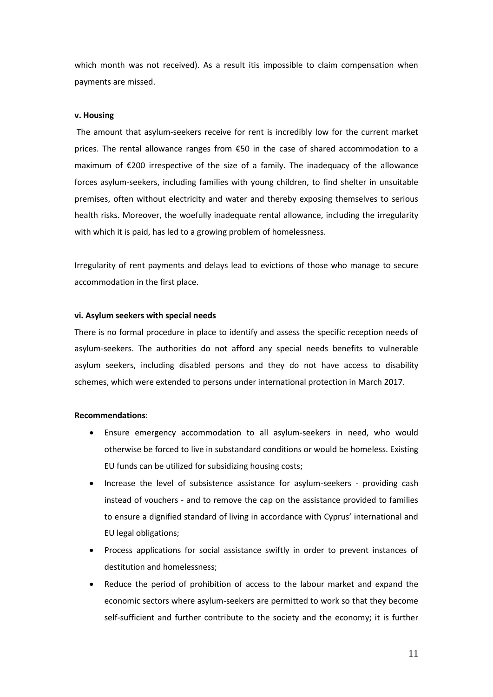which month was not received). As a result itis impossible to claim compensation when payments are missed.

## **v. Housing**

The amount that asylum-seekers receive for rent is incredibly low for the current market prices. The rental allowance ranges from  $\epsilon$ 50 in the case of shared accommodation to a maximum of €200 irrespective of the size of a family. The inadequacy of the allowance forces asylum-seekers, including families with young children, to find shelter in unsuitable premises, often without electricity and water and thereby exposing themselves to serious health risks. Moreover, the woefully inadequate rental allowance, including the irregularity with which it is paid, has led to a growing problem of homelessness.

Irregularity of rent payments and delays lead to evictions of those who manage to secure accommodation in the first place.

## **vi. Asylum seekers with special needs**

There is no formal procedure in place to identify and assess the specific reception needs of asylum-seekers. The authorities do not afford any special needs benefits to vulnerable asylum seekers, including disabled persons and they do not have access to disability schemes, which were extended to persons under international protection in March 2017.

## **Recommendations**:

- Ensure emergency accommodation to all asylum-seekers in need, who would otherwise be forced to live in substandard conditions or would be homeless. Existing EU funds can be utilized for subsidizing housing costs;
- Increase the level of subsistence assistance for asylum-seekers providing cash instead of vouchers - and to remove the cap on the assistance provided to families to ensure a dignified standard of living in accordance with Cyprus' international and EU legal obligations;
- Process applications for social assistance swiftly in order to prevent instances of destitution and homelessness;
- Reduce the period of prohibition of access to the labour market and expand the economic sectors where asylum-seekers are permitted to work so that they become self-sufficient and further contribute to the society and the economy; it is further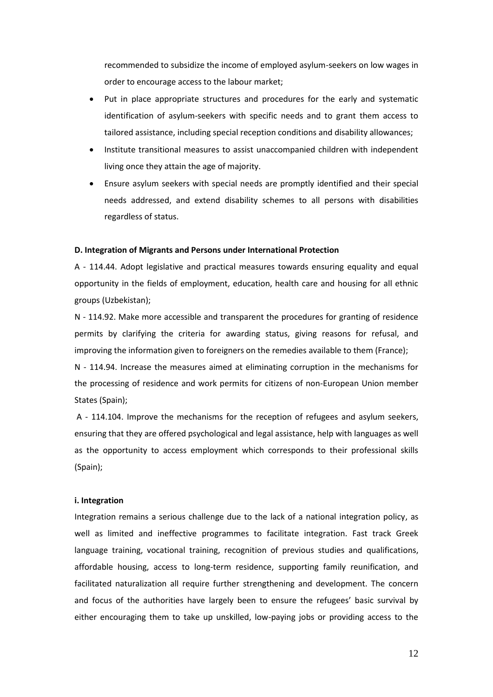recommended to subsidize the income of employed asylum-seekers on low wages in order to encourage access to the labour market;

- Put in place appropriate structures and procedures for the early and systematic identification of asylum-seekers with specific needs and to grant them access to tailored assistance, including special reception conditions and disability allowances;
- Institute transitional measures to assist unaccompanied children with independent living once they attain the age of majority.
- Ensure asylum seekers with special needs are promptly identified and their special needs addressed, and extend disability schemes to all persons with disabilities regardless of status.

### **D. Integration of Migrants and Persons under International Protection**

A - 114.44. Adopt legislative and practical measures towards ensuring equality and equal opportunity in the fields of employment, education, health care and housing for all ethnic groups (Uzbekistan);

N - 114.92. Make more accessible and transparent the procedures for granting of residence permits by clarifying the criteria for awarding status, giving reasons for refusal, and improving the information given to foreigners on the remedies available to them (France);

N - 114.94. Increase the measures aimed at eliminating corruption in the mechanisms for the processing of residence and work permits for citizens of non-European Union member States (Spain);

A - 114.104. Improve the mechanisms for the reception of refugees and asylum seekers, ensuring that they are offered psychological and legal assistance, help with languages as well as the opportunity to access employment which corresponds to their professional skills (Spain);

## **i. Integration**

Integration remains a serious challenge due to the lack of a national integration policy, as well as limited and ineffective programmes to facilitate integration. Fast track Greek language training, vocational training, recognition of previous studies and qualifications, affordable housing, access to long-term residence, supporting family reunification, and facilitated naturalization all require further strengthening and development. The concern and focus of the authorities have largely been to ensure the refugees' basic survival by either encouraging them to take up unskilled, low-paying jobs or providing access to the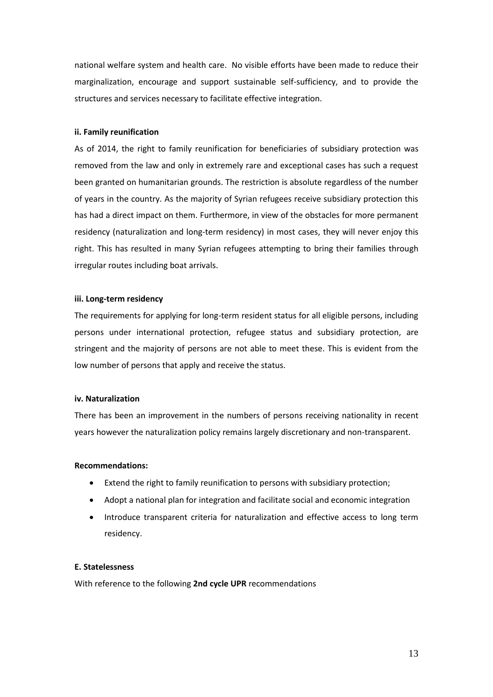national welfare system and health care. No visible efforts have been made to reduce their marginalization, encourage and support sustainable self-sufficiency, and to provide the structures and services necessary to facilitate effective integration.

## **ii. Family reunification**

As of 2014, the right to family reunification for beneficiaries of subsidiary protection was removed from the law and only in extremely rare and exceptional cases has such a request been granted on humanitarian grounds. The restriction is absolute regardless of the number of years in the country. As the majority of Syrian refugees receive subsidiary protection this has had a direct impact on them. Furthermore, in view of the obstacles for more permanent residency (naturalization and long-term residency) in most cases, they will never enjoy this right. This has resulted in many Syrian refugees attempting to bring their families through irregular routes including boat arrivals.

# **iii. Long-term residency**

The requirements for applying for long-term resident status for all eligible persons, including persons under international protection, refugee status and subsidiary protection, are stringent and the majority of persons are not able to meet these. This is evident from the low number of persons that apply and receive the status.

# **iv. Naturalization**

There has been an improvement in the numbers of persons receiving nationality in recent years however the naturalization policy remains largely discretionary and non-transparent.

# **Recommendations:**

- Extend the right to family reunification to persons with subsidiary protection;
- Adopt a national plan for integration and facilitate social and economic integration
- Introduce transparent criteria for naturalization and effective access to long term residency.

# **E. Statelessness**

With reference to the following **2nd cycle UPR** recommendations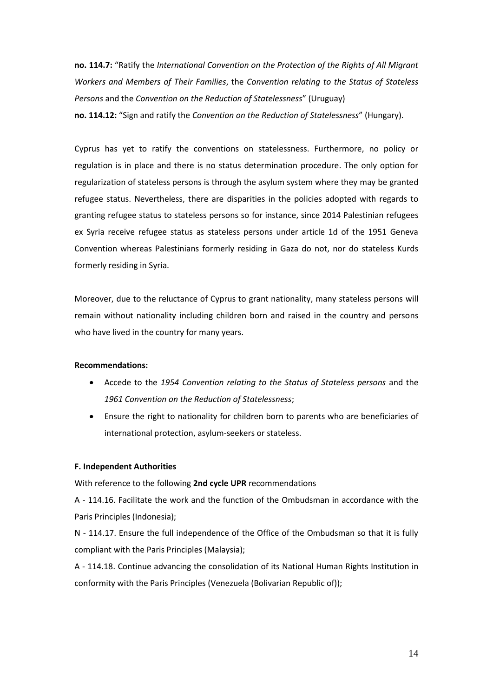**no. 114.7:** "Ratify the *International Convention on the Protection of the Rights of All Migrant Workers and Members of Their Families*, the *Convention relating to the Status of Stateless Persons* and the *Convention on the Reduction of Statelessness*" (Uruguay) **no. 114.12:** "Sign and ratify the *Convention on the Reduction of Statelessness*" (Hungary).

Cyprus has yet to ratify the conventions on statelessness. Furthermore, no policy or regulation is in place and there is no status determination procedure. The only option for regularization of stateless persons is through the asylum system where they may be granted refugee status. Nevertheless, there are disparities in the policies adopted with regards to granting refugee status to stateless persons so for instance, since 2014 Palestinian refugees ex Syria receive refugee status as stateless persons under article 1d of the 1951 Geneva Convention whereas Palestinians formerly residing in Gaza do not, nor do stateless Kurds formerly residing in Syria.

Moreover, due to the reluctance of Cyprus to grant nationality, many stateless persons will remain without nationality including children born and raised in the country and persons who have lived in the country for many years.

# **Recommendations:**

- Accede to the *1954 Convention relating to the Status of Stateless persons* and the *1961 Convention on the Reduction of Statelessness*;
- Ensure the right to nationality for children born to parents who are beneficiaries of international protection, asylum-seekers or stateless.

# **F. Independent Authorities**

With reference to the following **2nd cycle UPR** recommendations

A - 114.16. Facilitate the work and the function of the Ombudsman in accordance with the Paris Principles (Indonesia);

N - 114.17. Ensure the full independence of the Office of the Ombudsman so that it is fully compliant with the Paris Principles (Malaysia);

A - 114.18. Continue advancing the consolidation of its National Human Rights Institution in conformity with the Paris Principles (Venezuela (Bolivarian Republic of));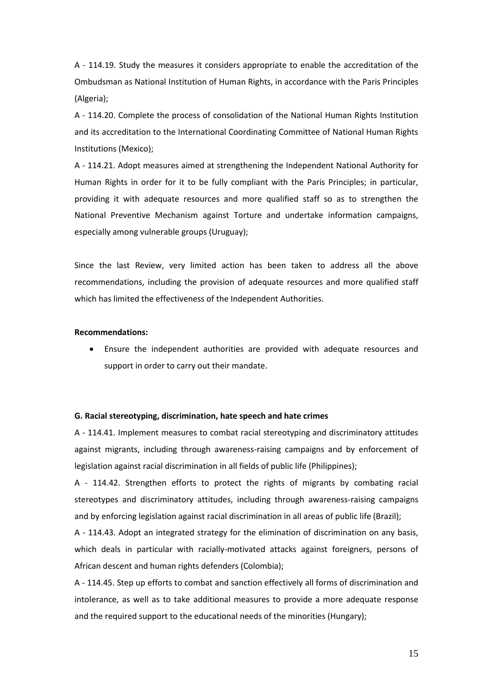A - 114.19. Study the measures it considers appropriate to enable the accreditation of the Ombudsman as National Institution of Human Rights, in accordance with the Paris Principles (Algeria);

A - 114.20. Complete the process of consolidation of the National Human Rights Institution and its accreditation to the International Coordinating Committee of National Human Rights Institutions (Mexico);

A - 114.21. Adopt measures aimed at strengthening the Independent National Authority for Human Rights in order for it to be fully compliant with the Paris Principles; in particular, providing it with adequate resources and more qualified staff so as to strengthen the National Preventive Mechanism against Torture and undertake information campaigns, especially among vulnerable groups (Uruguay);

Since the last Review, very limited action has been taken to address all the above recommendations, including the provision of adequate resources and more qualified staff which has limited the effectiveness of the Independent Authorities.

## **Recommendations:**

 Ensure the independent authorities are provided with adequate resources and support in order to carry out their mandate.

#### **G. Racial stereotyping, discrimination, hate speech and hate crimes**

A - 114.41. Implement measures to combat racial stereotyping and discriminatory attitudes against migrants, including through awareness-raising campaigns and by enforcement of legislation against racial discrimination in all fields of public life (Philippines);

A - 114.42. Strengthen efforts to protect the rights of migrants by combating racial stereotypes and discriminatory attitudes, including through awareness-raising campaigns and by enforcing legislation against racial discrimination in all areas of public life (Brazil);

A - 114.43. Adopt an integrated strategy for the elimination of discrimination on any basis, which deals in particular with racially-motivated attacks against foreigners, persons of African descent and human rights defenders (Colombia);

A - 114.45. Step up efforts to combat and sanction effectively all forms of discrimination and intolerance, as well as to take additional measures to provide a more adequate response and the required support to the educational needs of the minorities (Hungary);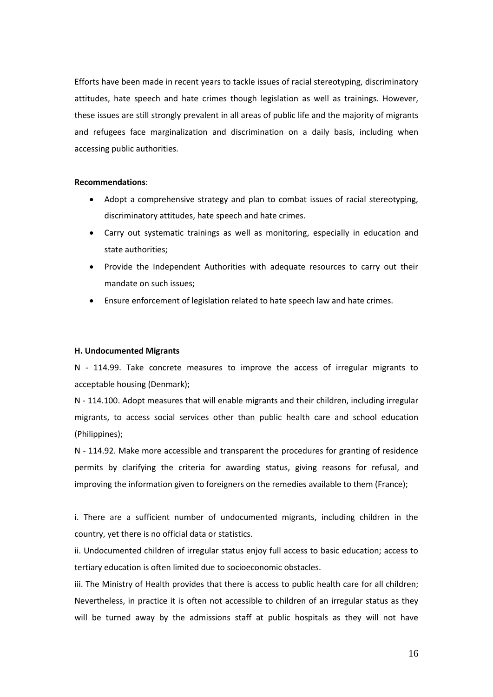Efforts have been made in recent years to tackle issues of racial stereotyping, discriminatory attitudes, hate speech and hate crimes though legislation as well as trainings. However, these issues are still strongly prevalent in all areas of public life and the majority of migrants and refugees face marginalization and discrimination on a daily basis, including when accessing public authorities.

## **Recommendations**:

- Adopt a comprehensive strategy and plan to combat issues of racial stereotyping, discriminatory attitudes, hate speech and hate crimes.
- Carry out systematic trainings as well as monitoring, especially in education and state authorities;
- Provide the Independent Authorities with adequate resources to carry out their mandate on such issues;
- Ensure enforcement of legislation related to hate speech law and hate crimes.

### **H. Undocumented Migrants**

N - 114.99. Take concrete measures to improve the access of irregular migrants to acceptable housing (Denmark);

N - 114.100. Adopt measures that will enable migrants and their children, including irregular migrants, to access social services other than public health care and school education (Philippines);

N - 114.92. Make more accessible and transparent the procedures for granting of residence permits by clarifying the criteria for awarding status, giving reasons for refusal, and improving the information given to foreigners on the remedies available to them (France);

i. There are a sufficient number of undocumented migrants, including children in the country, yet there is no official data or statistics.

ii. Undocumented children of irregular status enjoy full access to basic education; access to tertiary education is often limited due to socioeconomic obstacles.

iii. The Ministry of Health provides that there is access to public health care for all children; Nevertheless, in practice it is often not accessible to children of an irregular status as they will be turned away by the admissions staff at public hospitals as they will not have